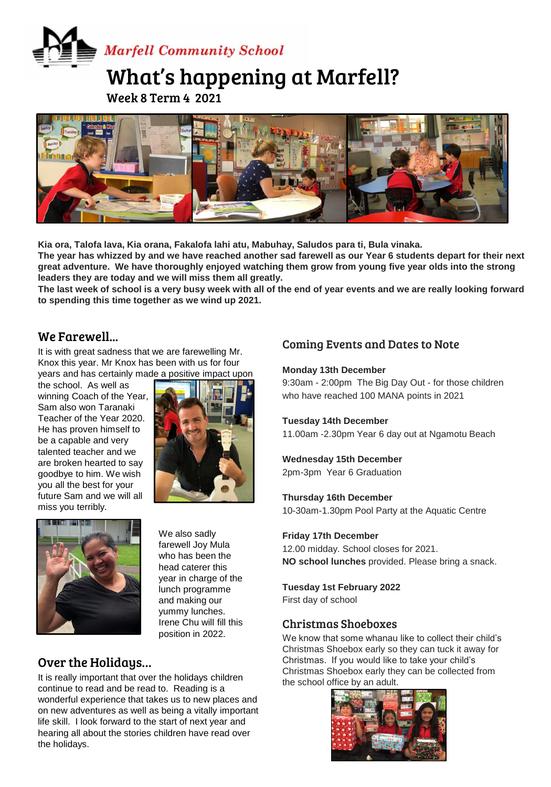# **Marfell Community School**

# What's happening at Marfell?

Week 8 Term 4 2021



Kia ora, Talofa lava, Kia orana, Fakalofa lahi atu, Mabuhay, Saludos para ti, Bula vinaka. **The year has whizzed by and we have reached another sad farewell as our Year 6 students depart for their next great adventure. We have thoroughly enjoyed watching them grow from young five year olds into the strong leaders they are today and we will miss them all greatly.**

**The last week of school is a very busy week with all of the end of year events and we are really looking forward to spending this time together as we wind up 2021.** 

## We Farewell...

It is with great sadness that we are farewelling Mr. Knox this year. Mr Knox has been with us for four years and has certainly made a positive impact upon

the school. As well as winning Coach of the Year, Sam also won Taranaki Teacher of the Year 2020. He has proven himself to be a capable and very talented teacher and we are broken hearted to say goodbye to him. We wish you all the best for your future Sam and we will all miss you terribly.





We also sadly farewell Joy Mula who has been the head caterer this year in charge of the lunch programme and making our yummy lunches. Irene Chu will fill this position in 2022.

# Over the Holidays…

It is really important that over the holidays children continue to read and be read to. Reading is a wonderful experience that takes us to new places and on new adventures as well as being a vitally important life skill. I look forward to the start of next year and hearing all about the stories children have read over the holidays.

# Coming Events and Dates to Note

#### **Monday 13th December**

9:30am - 2:00pm The Big Day Out - for those children who have reached 100 MANA points in 2021

#### **Tuesday 14th December**

11.00am -2.30pm Year 6 day out at Ngamotu Beach

#### **Wednesday 15th December**

2pm-3pm Year 6 Graduation

#### **Thursday 16th December**

10-30am-1.30pm Pool Party at the Aquatic Centre

#### **Friday 17th December**

12.00 midday. School closes for 2021. **NO school lunches** provided. Please bring a snack.

#### **Tuesday 1st February 2022**

First day of school

#### Christmas Shoeboxes

We know that some whanau like to collect their child's Christmas Shoebox early so they can tuck it away for Christmas. If you would like to take your child's Christmas Shoebox early they can be collected from the school office by an adult.